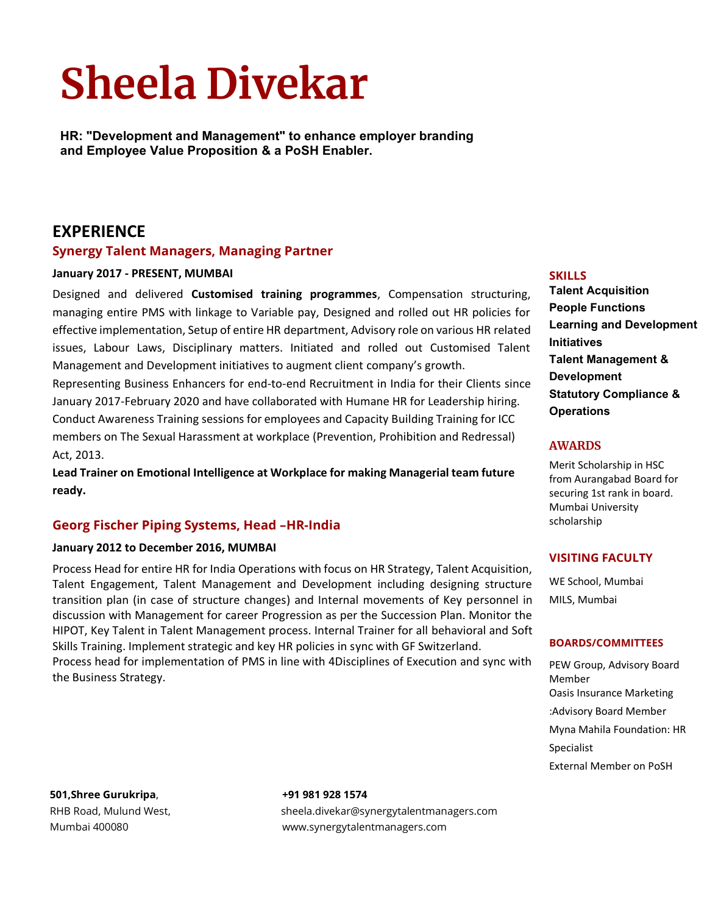# **Sheela Divekar**

**HR: "Development and Management" to enhance employer branding and Employee Value Proposition & a PoSH Enabler.**

# **EXPERIENCE**

## **Synergy Talent Managers, Managing Partner**

#### **January 2017 - PRESENT, MUMBAI**

Designed and delivered **Customised training programmes**, Compensation structuring, managing entire PMS with linkage to Variable pay, Designed and rolled out HR policies for effective implementation, Setup of entire HR department, Advisory role on various HR related issues, Labour Laws, Disciplinary matters. Initiated and rolled out Customised Talent Management and Development initiatives to augment client company's growth.

Representing Business Enhancers for end-to-end Recruitment in India for their Clients since January 2017-February 2020 and have collaborated with Humane HR for Leadership hiring. Conduct Awareness Training sessions for employees and Capacity Building Training for ICC members on The Sexual Harassment at workplace (Prevention, Prohibition and Redressal) Act, 2013.

**Lead Trainer on Emotional Intelligence at Workplace for making Managerial team future ready.**

# **Georg Fischer Piping Systems, Head –HR-India**

#### **January 2012 to December 2016, MUMBAI**

Process Head for entire HR for India Operations with focus on HR Strategy, Talent Acquisition, Talent Engagement, Talent Management and Development including designing structure transition plan (in case of structure changes) and Internal movements of Key personnel in discussion with Management for career Progression as per the Succession Plan. Monitor the HIPOT, Key Talent in Talent Management process. Internal Trainer for all behavioral and Soft Skills Training. Implement strategic and key HR policies in sync with GF Switzerland. Process head for implementation of PMS in line with 4Disciplines of Execution and sync with the Business Strategy.

# **SKILLS**

**Talent Acquisition People Functions Learning and Development Initiatives Talent Management & Development Statutory Compliance & Operations**

#### **AWARDS**

Merit Scholarship in HSC from Aurangabad Board for securing 1st rank in board. Mumbai University scholarship

## **VISITING FACULTY**

WE School, Mumbai MILS, Mumbai

#### **BOARDS/COMMITTEES**

PEW Group, Advisory Board Member Oasis Insurance Marketing :Advisory Board Member Myna Mahila Foundation: HR Specialist External Member on PoSH

**501,Shree Gurukripa**, **+91 981 928 1574**

RHB Road, Mulund West, sheela.divekar@synergytalentmanagers.com Mumbai 400080 www.synergytalentmanagers.com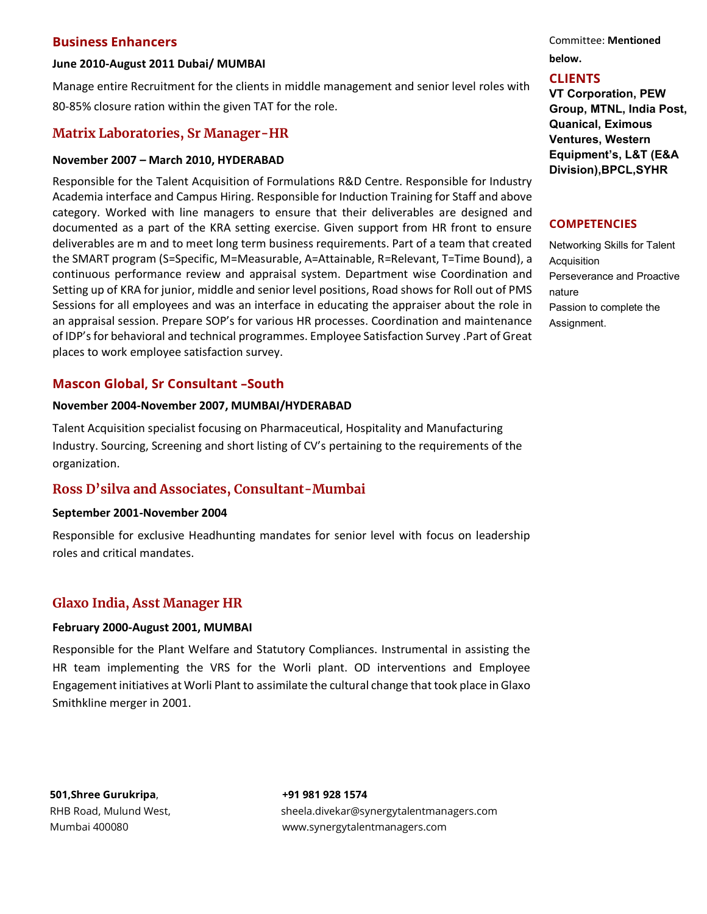## **Business Enhancers**

#### **June 2010-August 2011 Dubai/ MUMBAI**

Manage entire Recruitment for the clients in middle management and senior level roles with 80-85% closure ration within the given TAT for the role.

# **Matrix Laboratories, Sr Manager-HR**

#### **November 2007 – March 2010, HYDERABAD**

Responsible for the Talent Acquisition of Formulations R&D Centre. Responsible for Industry Academia interface and Campus Hiring. Responsible for Induction Training for Staff and above category. Worked with line managers to ensure that their deliverables are designed and documented as a part of the KRA setting exercise. Given support from HR front to ensure deliverables are m and to meet long term business requirements. Part of a team that created the SMART program (S=Specific, M=Measurable, A=Attainable, R=Relevant, T=Time Bound), a continuous performance review and appraisal system. Department wise Coordination and Setting up of KRA for junior, middle and senior level positions, Road shows for Roll out of PMS Sessions for all employees and was an interface in educating the appraiser about the role in an appraisal session. Prepare SOP's for various HR processes. Coordination and maintenance of IDP's for behavioral and technical programmes. Employee Satisfaction Survey .Part of Great places to work employee satisfaction survey.

# **Mascon Global, Sr Consultant –South**

#### **November 2004-November 2007, MUMBAI/HYDERABAD**

Talent Acquisition specialist focusing on Pharmaceutical, Hospitality and Manufacturing Industry. Sourcing, Screening and short listing of CV's pertaining to the requirements of the organization.

# **Ross D'silva and Associates, Consultant-Mumbai**

#### **September 2001-November 2004**

Responsible for exclusive Headhunting mandates for senior level with focus on leadership roles and critical mandates.

# **Glaxo India, Asst Manager HR**

#### **February 2000-August 2001, MUMBAI**

Responsible for the Plant Welfare and Statutory Compliances. Instrumental in assisting the HR team implementing the VRS for the Worli plant. OD interventions and Employee Engagement initiatives at Worli Plant to assimilate the cultural change that took place in Glaxo Smithkline merger in 2001.

**501,Shree Gurukripa**, **+91 981 928 1574**

RHB Road, Mulund West, sheela.divekar@synergytalentmanagers.com Mumbai 400080 www.synergytalentmanagers.com

Committee: **Mentioned below.**

# **CLIENTS**

**VT Corporation, PEW Group, MTNL, India Post, Quanical, Eximous Ventures, Western Equipment's, L&T (E&A Division),BPCL,SYHR**

#### **COMPETENCIES**

Networking Skills for Talent Acquisition Perseverance and Proactive nature Passion to complete the Assignment.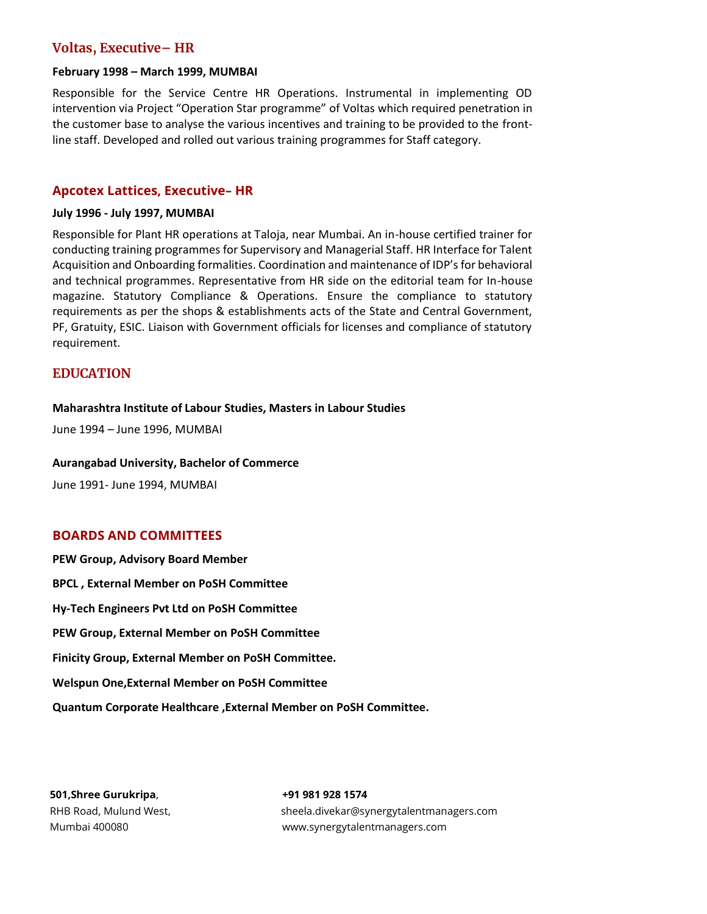# **Voltas, Executive– HR**

#### **February 1998 – March 1999, MUMBAI**

Responsible for the Service Centre HR Operations. Instrumental in implementing OD intervention via Project "Operation Star programme" of Voltas which required penetration in the customer base to analyse the various incentives and training to be provided to the frontline staff. Developed and rolled out various training programmes for Staff category.

#### **Apcotex Lattices, Executive– HR**

#### **July 1996 - July 1997, MUMBAI**

Responsible for Plant HR operations at Taloja, near Mumbai. An in-house certified trainer for conducting training programmes for Supervisory and Managerial Staff. HR Interface for Talent Acquisition and Onboarding formalities. Coordination and maintenance of IDP's for behavioral and technical programmes. Representative from HR side on the editorial team for In-house magazine. Statutory Compliance & Operations. Ensure the compliance to statutory requirements as per the shops & establishments acts of the State and Central Government, PF, Gratuity, ESIC. Liaison with Government officials for licenses and compliance of statutory requirement.

#### **EDUCATION**

#### **Maharashtra Institute of Labour Studies, Masters in Labour Studies**

June 1994 – June 1996, MUMBAI

#### **Aurangabad University, Bachelor of Commerce**

June 1991- June 1994, MUMBAI

#### **BOARDS AND COMMITTEES**

**PEW Group, Advisory Board Member BPCL , External Member on PoSH Committee Hy-Tech Engineers Pvt Ltd on PoSH Committee PEW Group, External Member on PoSH Committee Finicity Group, External Member on PoSH Committee. Welspun One,External Member on PoSH Committee Quantum Corporate Healthcare ,External Member on PoSH Committee.**

**501,Shree Gurukripa**, **+91 981 928 1574**

RHB Road, Mulund West, sheela.divekar@synergytalentmanagers.com Mumbai 400080 www.synergytalentmanagers.com